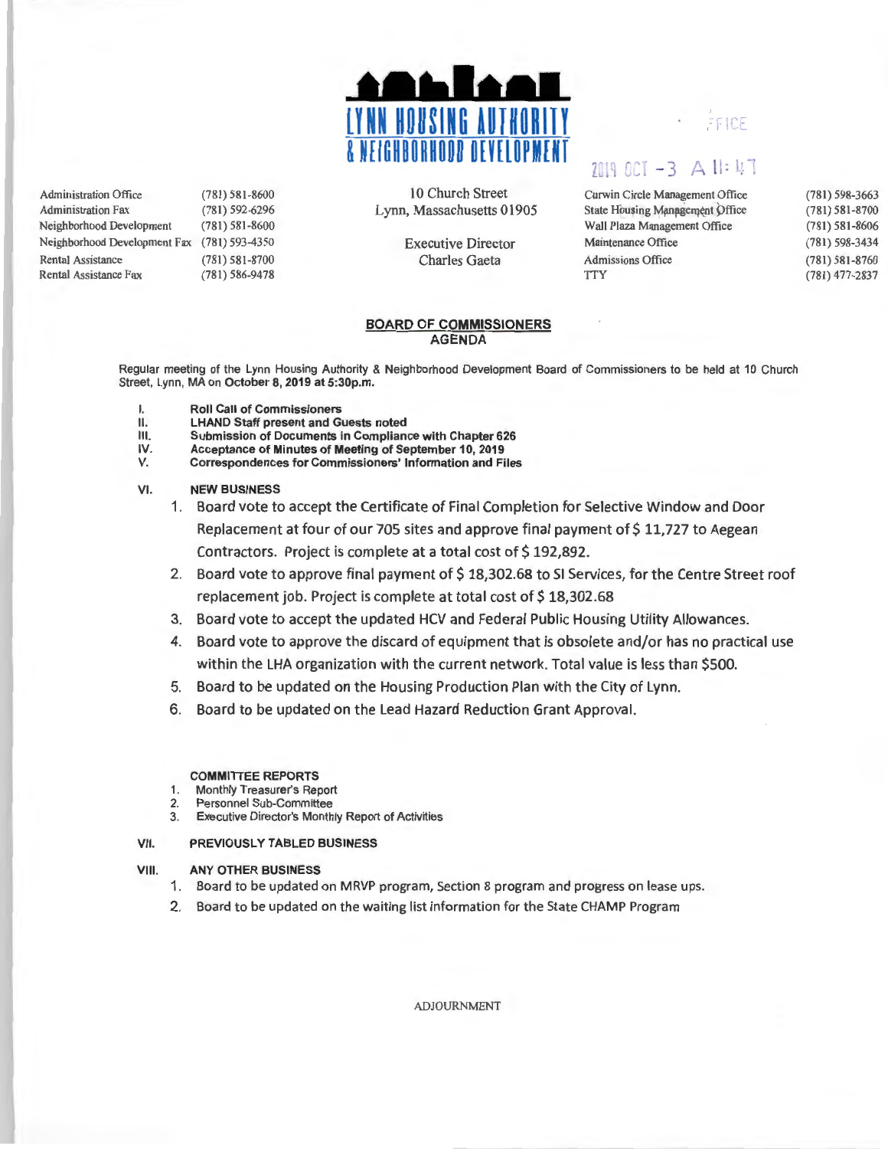

Administration Office Administration Fax Neighborhood Development (781) 581-8600 (78 1) 592-6296 (781) 581-8600 Neighborhood Development Fax (781) 593-4350 Rental Assistance (781) 581-8700 Rental Assistance Fax (781) 586-9478

10 Church Street Lynn, Massachusetts 01905

> Executive Director Charles Gaeta

## FICE

# 2019 OCT -3 A II: 47

| Curwin Circle Management Office        | $(781)$ 598-3663   |
|----------------------------------------|--------------------|
| <b>State Housing Management Office</b> | $(781) 581 - 8700$ |
| Wall Plaza Management Office           | $(781) 581 - 8606$ |
| Maintenance Office                     | (781) 598-3434     |
| <b>Admissions Office</b>               | $(781) 581 - 8760$ |
| <b>TTY</b>                             | $(781)$ 477-2837   |
|                                        |                    |

#### BOARD OF COMMISSIONERS AGENDA

Regular meeting of the Lynn Housing Authority & Neighborhood Development Board of Commissioners to be held at 10 Church Street, Lynn, MA on October 8, 2019 at 5:30p.m.

- I. Roll Call of Commissioners<br>II. LHAND Staff present and G
- LHAND Staff present and Guests noted
- III. Submission of Documents in Compliance with Chapter 626<br>IV. Acceptance of Minutes of Meeting of September 10, 2019
- Acceptance of Minutes of Meeting of September 10, 2019
- V. Correspondences for Commissioners' Information and Files

#### VI. NEW BUSINESS

- 1. Board vote to accept the Certificate of Final Completion for Selective Window and Door Replacement at four of our 705 sites and approve final payment of \$11,727 to Aegean Contractors. Project is complete at a total cost of \$192,892.
- 2. Board vote to approve final payment of \$18,302.68 to SI Services, for the Centre Street roof replacement job. Project is complete at total cost of \$18,302.68
- 3. Board vote to accept the updated HCV and Federal Public Housing Utility Allowances.
- 4. Board vote to approve the discard of equipment that is obsolete and/or has no practical use within the LHA organization with the current network. Total value is less than \$500.
- 5. Board to be updated on the Housing Production Plan with the City of Lynn.
- 6. Board to be updated on the Lead Hazard Reduction Grant Approval.

#### COMMITTEE REPORTS

- 1. Monthly Treasurer's Report
- 2. Personnel Sub-Committee
- 3. Executive Director's Monthly Report of Activities

#### VII. PREVIOUSLY TABLED BUSINESS

#### VIII. ANY OTHER BUSINESS

- 1. Board to be updated on MRVP program, Section 8 program and progress on lease ups.
- 2. Board to be updated on the waiting list information for the State CHAMP Program

ADJOURNMENT